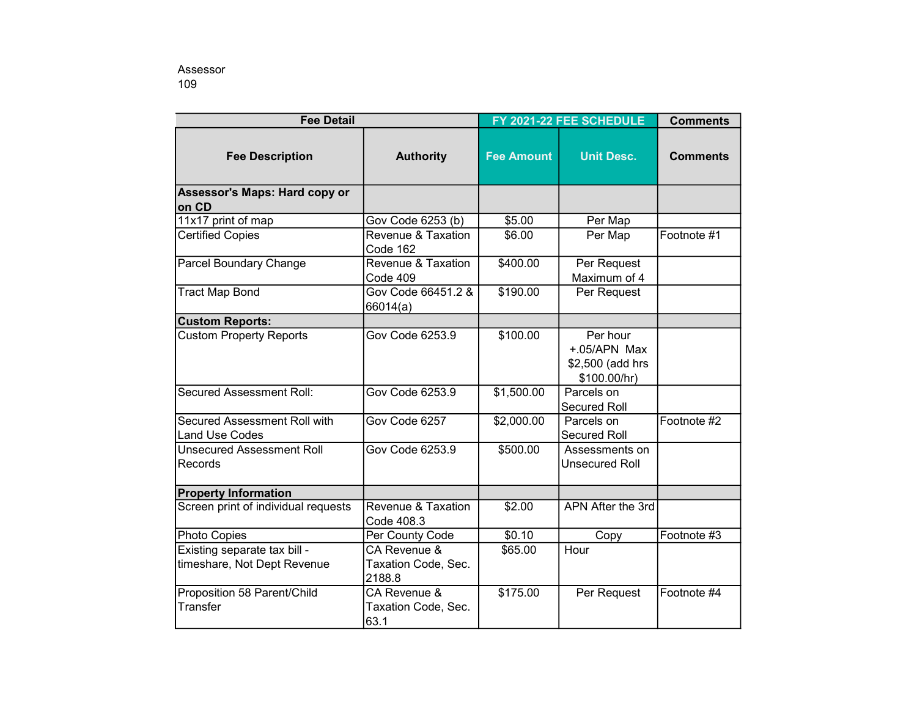| <b>Fee Detail</b>                                           |                                               | FY 2021-22 FEE SCHEDULE |                                                              | <b>Comments</b> |
|-------------------------------------------------------------|-----------------------------------------------|-------------------------|--------------------------------------------------------------|-----------------|
| <b>Fee Description</b>                                      | <b>Authority</b>                              | <b>Fee Amount</b>       | <b>Unit Desc.</b>                                            | <b>Comments</b> |
| Assessor's Maps: Hard copy or<br>on CD                      |                                               |                         |                                                              |                 |
| 11x17 print of map                                          | Gov Code 6253 (b)                             | \$5.00                  | Per Map                                                      |                 |
| <b>Certified Copies</b>                                     | Revenue & Taxation<br>Code 162                | \$6.00                  | Per Map                                                      | Footnote #1     |
| Parcel Boundary Change                                      | Revenue & Taxation<br>Code 409                | \$400.00                | Per Request<br>Maximum of 4                                  |                 |
| <b>Tract Map Bond</b>                                       | Gov Code 66451.2 &<br>66014(a)                | \$190.00                | Per Request                                                  |                 |
| <b>Custom Reports:</b>                                      |                                               |                         |                                                              |                 |
| <b>Custom Property Reports</b>                              | Gov Code 6253.9                               | \$100.00                | Per hour<br>+.05/APN Max<br>\$2,500 (add hrs<br>\$100.00/hr) |                 |
| <b>Secured Assessment Roll:</b>                             | Gov Code 6253.9                               | \$1,500.00              | Parcels on<br><b>Secured Roll</b>                            |                 |
| Secured Assessment Roll with<br><b>Land Use Codes</b>       | Gov Code 6257                                 | \$2,000.00              | Parcels on<br><b>Secured Roll</b>                            | Footnote #2     |
| <b>Unsecured Assessment Roll</b><br>Records                 | Gov Code 6253.9                               | \$500.00                | Assessments on<br><b>Unsecured Roll</b>                      |                 |
| <b>Property Information</b>                                 |                                               |                         |                                                              |                 |
| Screen print of individual requests                         | Revenue & Taxation<br>Code 408.3              | \$2.00                  | APN After the 3rd                                            |                 |
| Photo Copies                                                | Per County Code                               | \$0.10                  | Copy                                                         | Footnote #3     |
| Existing separate tax bill -<br>timeshare, Not Dept Revenue | CA Revenue &<br>Taxation Code, Sec.<br>2188.8 | \$65.00                 | Hour                                                         |                 |
| Proposition 58 Parent/Child<br>Transfer                     | CA Revenue &<br>Taxation Code, Sec.<br>63.1   | \$175.00                | Per Request                                                  | Footnote #4     |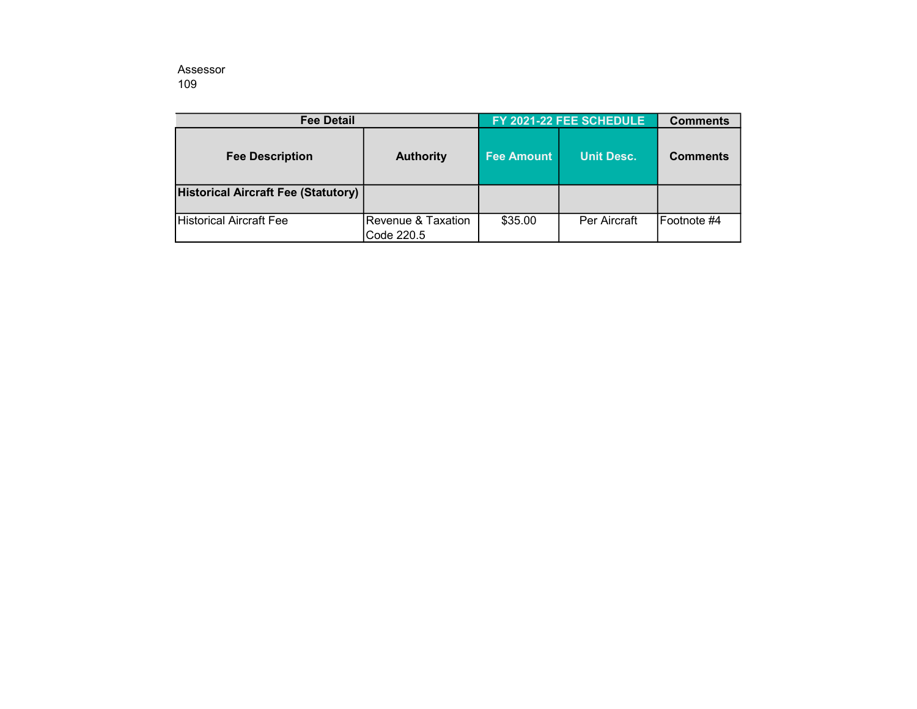Assessor 109

| <b>Fee Detail</b>                          |                                  | FY 2021-22 FEE SCHEDULE |                   | <b>Comments</b> |
|--------------------------------------------|----------------------------------|-------------------------|-------------------|-----------------|
| <b>Fee Description</b>                     | <b>Authority</b>                 | <b>Fee Amount</b>       | <b>Unit Desc.</b> | <b>Comments</b> |
| <b>Historical Aircraft Fee (Statutory)</b> |                                  |                         |                   |                 |
| Historical Aircraft Fee                    | Revenue & Taxation<br>Code 220.5 | \$35.00                 | Per Aircraft      | IFootnote #4    |